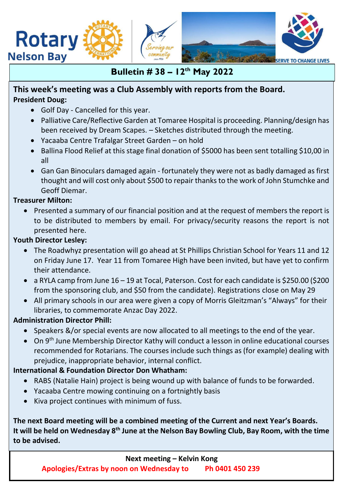

# **Bulletin # 38 – 12th May 2022**

## **This week's meeting was a Club Assembly with reports from the Board. President Doug:**

- Golf Day Cancelled for this year.
- Palliative Care/Reflective Garden at Tomaree Hospital is proceeding. Planning/design has been received by Dream Scapes. – Sketches distributed through the meeting.
- Yacaaba Centre Trafalgar Street Garden on hold
- Ballina Flood Relief at this stage final donation of \$5000 has been sent totalling \$10,00 in all
- Gan Gan Binoculars damaged again fortunately they were not as badly damaged as first thought and will cost only about \$500 to repair thanks to the work of John Stumchke and Geoff Diemar.

## **Treasurer Milton:**

• Presented a summary of our financial position and at the request of members the report is to be distributed to members by email. For privacy/security reasons the report is not presented here.

## **Youth Director Lesley:**

- The Roadwhyz presentation will go ahead at St Phillips Christian School for Years 11 and 12 on Friday June 17. Year 11 from Tomaree High have been invited, but have yet to confirm their attendance.
- a RYLA camp from June 16 19 at Tocal, Paterson. Cost for each candidate is \$250.00 (\$200 from the sponsoring club, and \$50 from the candidate). Registrations close on May 29
- All primary schools in our area were given a copy of Morris Gleitzman's "Always" for their libraries, to commemorate Anzac Day 2022.

## **Administration Director Phill:**

- Speakers &/or special events are now allocated to all meetings to the end of the year.
- On 9th June Membership Director Kathy will conduct a lesson in online educational courses recommended for Rotarians. The courses include such things as (for example) dealing with prejudice, inappropriate behavior, internal conflict.

## **International & Foundation Director Don Whatham:**

- RABS (Natalie Hain) project is being wound up with balance of funds to be forwarded.
- Yacaaba Centre mowing continuing on a fortnightly basis
- Kiva project continues with minimum of fuss.

**The next Board meeting will be a combined meeting of the Current and next Year's Boards. It will be held on Wednesday 8th June at the Nelson Bay Bowling Club, Bay Room, with the time to be advised.**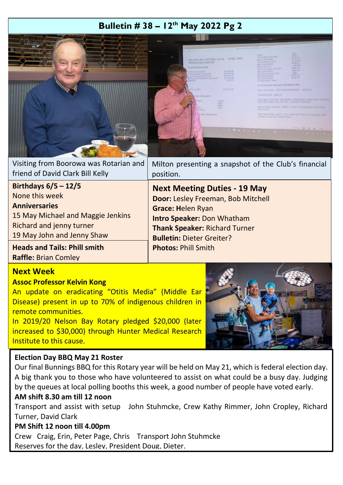# **Bulletin # 38 – 12th May 2022 Pg 2**



|                                  | Visiting from Boorowa was Rotarian and   Milton presenting a snapshot of the Club's financial |
|----------------------------------|-----------------------------------------------------------------------------------------------|
| friend of David Clark Bill Kelly | position.                                                                                     |

| Birthdays $6/5 - 12/5$              | <b>Next Meeting Duties - 19 May</b>                                      |
|-------------------------------------|--------------------------------------------------------------------------|
| None this week                      | Door: Lesley Freeman, Bob Mitchell                                       |
| <b>Anniversaries</b>                | <b>Grace: Helen Ryan</b>                                                 |
| 15 May Michael and Maggie Jenkins   | <b>Intro Speaker: Don Whatham</b>                                        |
| Richard and jenny turner            | <b>Thank Speaker: Richard Turner</b><br><b>Bulletin: Dieter Greiter?</b> |
| 19 May John and Jenny Shaw          |                                                                          |
| <b>Heads and Tails: Phill smith</b> | <b>Photos: Phill Smith</b>                                               |
| <b>Raffle: Brian Comley</b>         |                                                                          |

### **Next Week**

l.

#### **Assoc Professor Kelvin Kong**

An update on eradicating "Otitis Media" (Middle Ear Disease) present in up to 70% of indigenous children in remote communities.

In 2019/20 Nelson Bay Rotary pledged \$20,000 (later increased to \$30,000) through Hunter Medical Research Institute to this cause.



#### **Election Day BBQ May 21 Roster**

Our final Bunnings BBQ for this Rotary year will be held on May 21, which is federal election day. A big thank you to those who have volunteered to assist on what could be a busy day. Judging by the queues at local polling booths this week, a good number of people have voted early.

#### **AM shift 8.30 am till 12 noon**

Transport and assist with setup John Stuhmcke, Crew Kathy Rimmer, John Cropley, Richard Turner, David Clark

### **PM Shift 12 noon till 4.00pm**

Crew Craig, Erin, Peter Page, Chris Transport John Stuhmcke Reserves for the day, Lesley, President Doug, Dieter.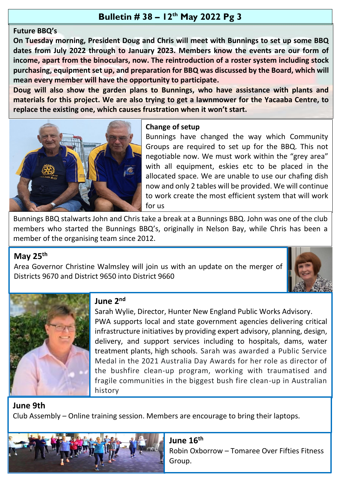# **Bulletin # 38 – 12th May 2022 Pg 3**

### **Future BBQ's**

**On Tuesday morning, President Doug and Chris will meet with Bunnings to set up some BBQ dates from July 2022 through to January 2023. Members know the events are our form of income, apart from the binoculars, now. The reintroduction of a roster system including stock purchasing, equipment set up, and preparation for BBQ was discussed by the Board, which will mean every member will have the opportunity to participate.**

**Doug will also show the garden plans to Bunnings, who have assistance with plants and materials for this project. We are also trying to get a lawnmower for the Yacaaba Centre, to replace the existing one, which causes frustration when it won't start.**



### **Change of setup**

Bunnings have changed the way which Community Groups are required to set up for the BBQ. This not negotiable now. We must work within the "grey area" with all equipment, eskies etc to be placed in the allocated space. We are unable to use our chafing dish now and only 2 tables will be provided. We will continue to work create the most efficient system that will work for us

Bunnings BBQ stalwarts John and Chris take a break at a Bunnings BBQ. John was one of the club members who started the Bunnings BBQ's, originally in Nelson Bay, while Chris has been a member of the organising team since 2012.

## **May 25th**

Area Governor Christine Walmsley will join us with an update on the merger of Districts 9670 and District 9650 into District 9660





## **June 2nd**

Sarah Wylie, Director, Hunter New England Public Works Advisory. PWA supports local and state government agencies delivering critical infrastructure initiatives by providing expert advisory, planning, design, delivery, and support services including to hospitals, dams, water treatment plants, high schools. Sarah was awarded a Public Service Medal in the 2021 Australia Day Awards for her role as director of the bushfire clean-up program, working with traumatised and fragile communities in the biggest bush fire clean-up in Australian history

# **June 9th**

Club Assembly – Online training session. Members are encourage to bring their laptops.



.

**June 16th** Robin Oxborrow – Tomaree Over Fifties Fitness Group.